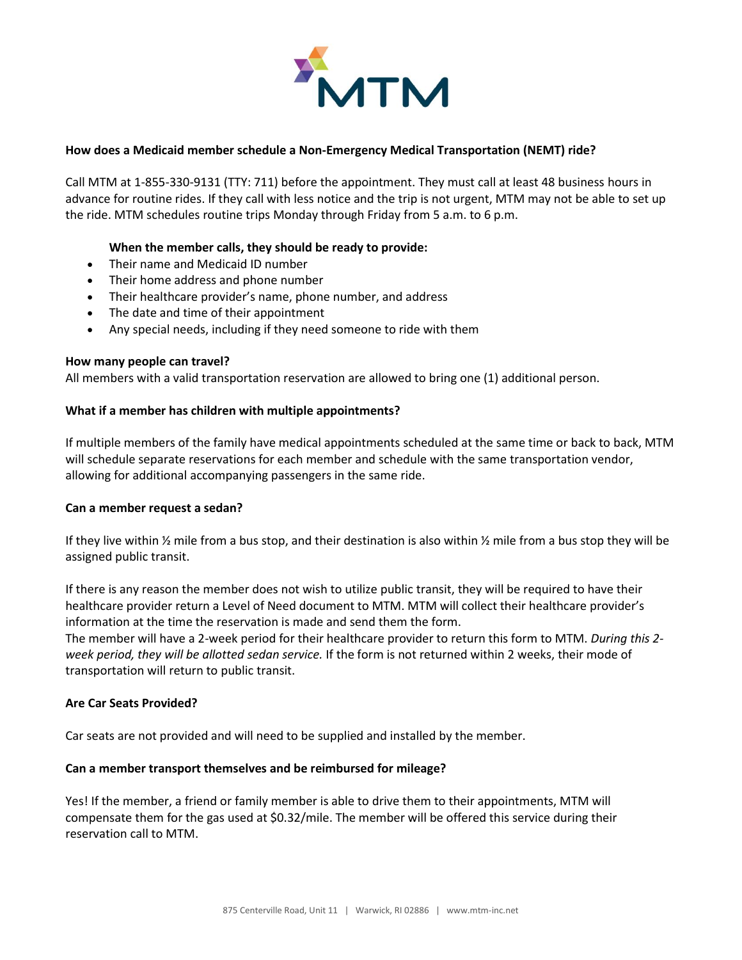

# **How does a Medicaid member schedule a Non-Emergency Medical Transportation (NEMT) ride?**

Call MTM at 1-855-330-9131 (TTY: 711) before the appointment. They must call at least 48 business hours in advance for routine rides. If they call with less notice and the trip is not urgent, MTM may not be able to set up the ride. MTM schedules routine trips Monday through Friday from 5 a.m. to 6 p.m.

# **When the member calls, they should be ready to provide:**

- Their name and Medicaid ID number
- Their home address and phone number
- Their healthcare provider's name, phone number, and address
- The date and time of their appointment
- Any special needs, including if they need someone to ride with them

#### **How many people can travel?**

All members with a valid transportation reservation are allowed to bring one (1) additional person.

### **What if a member has children with multiple appointments?**

If multiple members of the family have medical appointments scheduled at the same time or back to back, MTM will schedule separate reservations for each member and schedule with the same transportation vendor, allowing for additional accompanying passengers in the same ride.

#### **Can a member request a sedan?**

If they live within  $\frac{1}{2}$  mile from a bus stop, and their destination is also within  $\frac{1}{2}$  mile from a bus stop they will be assigned public transit.

If there is any reason the member does not wish to utilize public transit, they will be required to have their healthcare provider return a Level of Need document to MTM. MTM will collect their healthcare provider's information at the time the reservation is made and send them the form.

The member will have a 2-week period for their healthcare provider to return this form to MTM. *During this 2 week period, they will be allotted sedan service.* If the form is not returned within 2 weeks, their mode of transportation will return to public transit.

# **Are Car Seats Provided?**

Car seats are not provided and will need to be supplied and installed by the member.

### **Can a member transport themselves and be reimbursed for mileage?**

Yes! If the member, a friend or family member is able to drive them to their appointments, MTM will compensate them for the gas used at \$0.32/mile. The member will be offered this service during their reservation call to MTM.